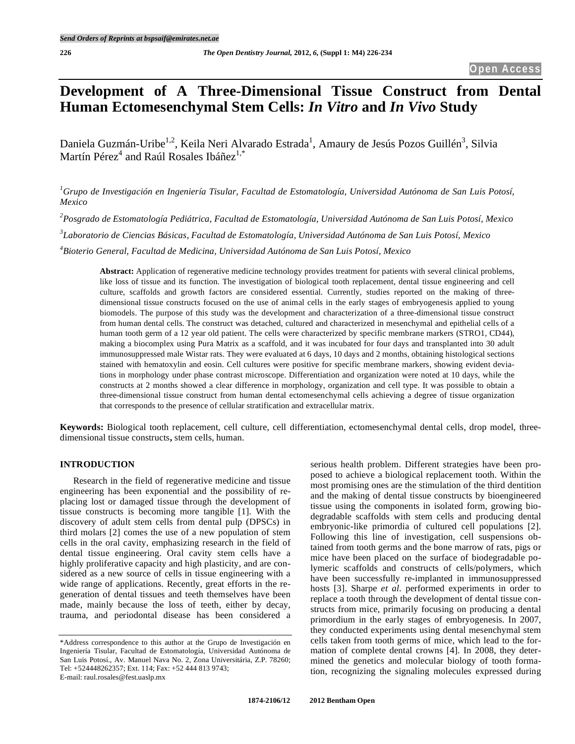# **Development of A Three-Dimensional Tissue Construct from Dental Human Ectomesenchymal Stem Cells:** *In Vitro* **and** *In Vivo* **Study**

Daniela Guzmán-Uribe<sup>1,2</sup>, Keila Neri Alvarado Estrada<sup>1</sup>, Amaury de Jesús Pozos Guillén<sup>3</sup>, Silvia Martín Pérez $^4$  and Raúl Rosales Ibáñez $^{1,\ast}$ 

*1 Grupo de Investigación en Ingeniería Tisular, Facultad de Estomatología, Universidad Autónoma de San Luis Potosí, Mexico*

*2 Posgrado de Estomatología Pediátrica, Facultad de Estomatología, Universidad Autónoma de San Luis Potosí, Mexico*

*3 Laboratorio de Ciencias Básicas, Facultad de Estomatología, Universidad Autónoma de San Luis Potosí, Mexico*

*4 Bioterio General, Facultad de Medicina, Universidad Autónoma de San Luis Potosí, Mexico*

**Abstract:** Application of regenerative medicine technology provides treatment for patients with several clinical problems, like loss of tissue and its function. The investigation of biological tooth replacement, dental tissue engineering and cell culture, scaffolds and growth factors are considered essential. Currently, studies reported on the making of threedimensional tissue constructs focused on the use of animal cells in the early stages of embryogenesis applied to young biomodels. The purpose of this study was the development and characterization of a three-dimensional tissue construct from human dental cells. The construct was detached, cultured and characterized in mesenchymal and epithelial cells of a human tooth germ of a 12 year old patient. The cells were characterized by specific membrane markers (STRO1, CD44), making a biocomplex using Pura Matrix as a scaffold, and it was incubated for four days and transplanted into 30 adult immunosuppressed male Wistar rats. They were evaluated at 6 days, 10 days and 2 months, obtaining histological sections stained with hematoxylin and eosin. Cell cultures were positive for specific membrane markers, showing evident deviations in morphology under phase contrast microscope. Differentiation and organization were noted at 10 days, while the constructs at 2 months showed a clear difference in morphology, organization and cell type. It was possible to obtain a three-dimensional tissue construct from human dental ectomesenchymal cells achieving a degree of tissue organization that corresponds to the presence of cellular stratification and extracellular matrix.

**Keywords:** Biological tooth replacement, cell culture, cell differentiation, ectomesenchymal dental cells, drop model, threedimensional tissue constructs**,** stem cells, human.

# **INTRODUCTION**

Research in the field of regenerative medicine and tissue engineering has been exponential and the possibility of replacing lost or damaged tissue through the development of tissue constructs is becoming more tangible [1]. With the discovery of adult stem cells from dental pulp (DPSCs) in third molars [2] comes the use of a new population of stem cells in the oral cavity, emphasizing research in the field of dental tissue engineering. Oral cavity stem cells have a highly proliferative capacity and high plasticity, and are considered as a new source of cells in tissue engineering with a wide range of applications. Recently, great efforts in the regeneration of dental tissues and teeth themselves have been made, mainly because the loss of teeth, either by decay, trauma, and periodontal disease has been considered a

serious health problem. Different strategies have been proposed to achieve a biological replacement tooth. Within the most promising ones are the stimulation of the third dentition and the making of dental tissue constructs by bioengineered tissue using the components in isolated form, growing biodegradable scaffolds with stem cells and producing dental embryonic-like primordia of cultured cell populations [2]. Following this line of investigation, cell suspensions obtained from tooth germs and the bone marrow of rats, pigs or mice have been placed on the surface of biodegradable polymeric scaffolds and constructs of cells/polymers, which have been successfully re-implanted in immunosuppressed hosts [3]. Sharpe *et al.* performed experiments in order to replace a tooth through the development of dental tissue constructs from mice, primarily focusing on producing a dental primordium in the early stages of embryogenesis. In 2007, they conducted experiments using dental mesenchymal stem cells taken from tooth germs of mice, which lead to the formation of complete dental crowns [4]. In 2008, they determined the genetics and molecular biology of tooth formation, recognizing the signaling molecules expressed during

<sup>\*</sup>Address correspondence to this author at the Grupo de Investigación en Ingeniería Tisular, Facultad de Estomatología, Universidad Autónoma de San Luis Potosí., Av. Manuel Nava No. 2, Zona Universitária, Z.P. 78260; Tel: +524448262357; Ext. 114; Fax: +52 444 813 9743; E-mail: raul.rosales@fest.uaslp.mx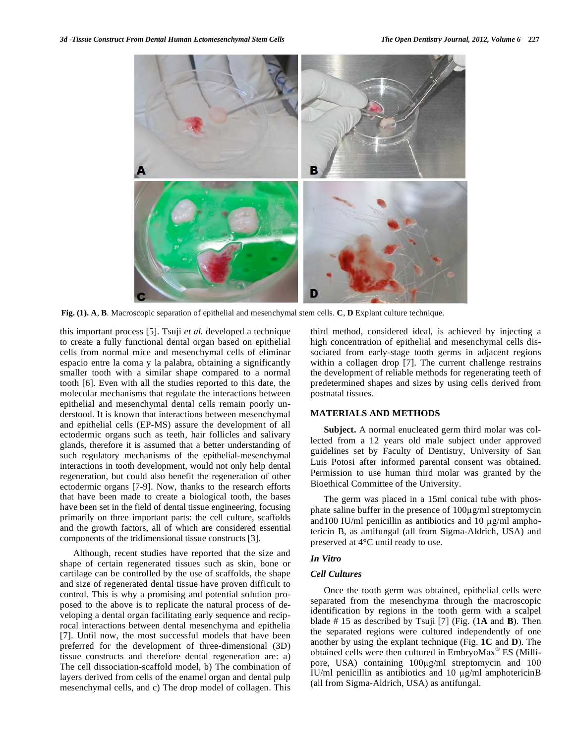

**Fig. (1). A**, **B**. Macroscopic separation of epithelial and mesenchymal stem cells. **C**, **D** Explant culture technique.

this important process [5]. Tsuji *et al.* developed a technique to create a fully functional dental organ based on epithelial cells from normal mice and mesenchymal cells of eliminar espacio entre la coma y la palabra, obtaining a significantly smaller tooth with a similar shape compared to a normal tooth [6]. Even with all the studies reported to this date, the molecular mechanisms that regulate the interactions between epithelial and mesenchymal dental cells remain poorly understood. It is known that interactions between mesenchymal and epithelial cells (EP-MS) assure the development of all ectodermic organs such as teeth, hair follicles and salivary glands, therefore it is assumed that a better understanding of such regulatory mechanisms of the epithelial-mesenchymal interactions in tooth development, would not only help dental regeneration, but could also benefit the regeneration of other ectodermic organs [7-9]. Now, thanks to the research efforts that have been made to create a biological tooth, the bases have been set in the field of dental tissue engineering, focusing primarily on three important parts: the cell culture, scaffolds and the growth factors, all of which are considered essential components of the tridimensional tissue constructs [3].

Although, recent studies have reported that the size and shape of certain regenerated tissues such as skin, bone or cartilage can be controlled by the use of scaffolds, the shape and size of regenerated dental tissue have proven difficult to control. This is why a promising and potential solution proposed to the above is to replicate the natural process of developing a dental organ facilitating early sequence and reciprocal interactions between dental mesenchyma and epithelia [7]. Until now, the most successful models that have been preferred for the development of three-dimensional (3D) tissue constructs and therefore dental regeneration are: a) The cell dissociation-scaffold model, b) The combination of layers derived from cells of the enamel organ and dental pulp mesenchymal cells, and c) The drop model of collagen. This third method, considered ideal, is achieved by injecting a high concentration of epithelial and mesenchymal cells dissociated from early-stage tooth germs in adjacent regions within a collagen drop [7]. The current challenge restrains the development of reliable methods for regenerating teeth of predetermined shapes and sizes by using cells derived from postnatal tissues.

# **MATERIALS AND METHODS**

**Subject.** A normal enucleated germ third molar was collected from a 12 years old male subject under approved guidelines set by Faculty of Dentistry, University of San Luis Potosi after informed parental consent was obtained. Permission to use human third molar was granted by the Bioethical Committee of the University.

The germ was placed in a 15ml conical tube with phosphate saline buffer in the presence of 100µg/ml streptomycin and 100 IU/ml penicillin as antibiotics and 10 µg/ml amphotericin B, as antifungal (all from Sigma-Aldrich, USA) and preserved at 4°C until ready to use.

## *In Vitro*

## *Cell Cultures*

Once the tooth germ was obtained, epithelial cells were separated from the mesenchyma through the macroscopic identification by regions in the tooth germ with a scalpel blade # 15 as described by Tsuji [7] (Fig. (**1A** and **B**). Then the separated regions were cultured independently of one another by using the explant technique (Fig. **1C** and **D**). The obtained cells were then cultured in EmbryoMax® ES (Millipore, USA) containing 100µg/ml streptomycin and 100 IU/ml penicillin as antibiotics and 10 µg/ml amphotericinB (all from Sigma-Aldrich, USA) as antifungal.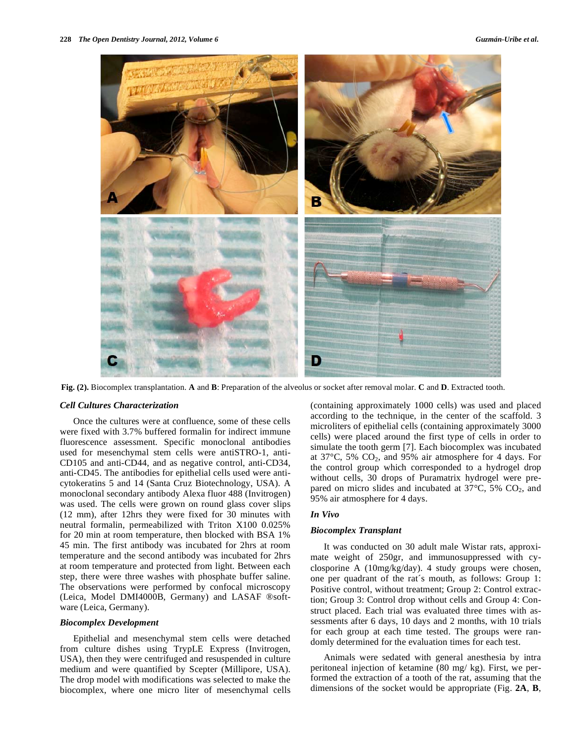

**Fig. (2).** Biocomplex transplantation. **A** and **B**: Preparation of the alveolus or socket after removal molar. **C** and **D**. Extracted tooth.

#### *Cell Cultures Characterization*

Once the cultures were at confluence, some of these cells were fixed with 3.7% buffered formalin for indirect immune fluorescence assessment. Specific monoclonal antibodies used for mesenchymal stem cells were antiSTRO-1, anti-CD105 and anti-CD44, and as negative control, anti-CD34, anti-CD45. The antibodies for epithelial cells used were anticytokeratins 5 and 14 (Santa Cruz Biotechnology, USA). A monoclonal secondary antibody Alexa fluor 488 (Invitrogen) was used. The cells were grown on round glass cover slips (12 mm), after 12hrs they were fixed for 30 minutes with neutral formalin, permeabilized with Triton X100 0.025% for 20 min at room temperature, then blocked with BSA 1% 45 min. The first antibody was incubated for 2hrs at room temperature and the second antibody was incubated for 2hrs at room temperature and protected from light. Between each step, there were three washes with phosphate buffer saline. The observations were performed by confocal microscopy (Leica, Model DMI4000B, Germany) and LASAF ®software (Leica, Germany).

## *Biocomplex Development*

Epithelial and mesenchymal stem cells were detached from culture dishes using TrypLE Express (Invitrogen, USA), then they were centrifuged and resuspended in culture medium and were quantified by Scepter (Millipore, USA). The drop model with modifications was selected to make the biocomplex, where one micro liter of mesenchymal cells (containing approximately 1000 cells) was used and placed according to the technique, in the center of the scaffold. 3 microliters of epithelial cells (containing approximately 3000 cells) were placed around the first type of cells in order to simulate the tooth germ [7]. Each biocomplex was incubated at  $37^{\circ}$ C, 5% CO<sub>2</sub>, and 95% air atmosphere for 4 days. For the control group which corresponded to a hydrogel drop without cells, 30 drops of Puramatrix hydrogel were prepared on micro slides and incubated at  $37^{\circ}$ C, 5% CO<sub>2</sub>, and 95% air atmosphere for 4 days.

#### *In Vivo*

#### *Biocomplex Transplant*

It was conducted on 30 adult male Wistar rats, approximate weight of 250gr, and immunosuppressed with cyclosporine A (10mg/kg/day). 4 study groups were chosen, one per quadrant of the rat´s mouth, as follows: Group 1: Positive control, without treatment; Group 2: Control extraction; Group 3: Control drop without cells and Group 4: Construct placed. Each trial was evaluated three times with assessments after 6 days, 10 days and 2 months, with 10 trials for each group at each time tested. The groups were randomly determined for the evaluation times for each test.

Animals were sedated with general anesthesia by intra peritoneal injection of ketamine (80 mg/ kg). First, we performed the extraction of a tooth of the rat, assuming that the dimensions of the socket would be appropriate (Fig. **2A**, **B**,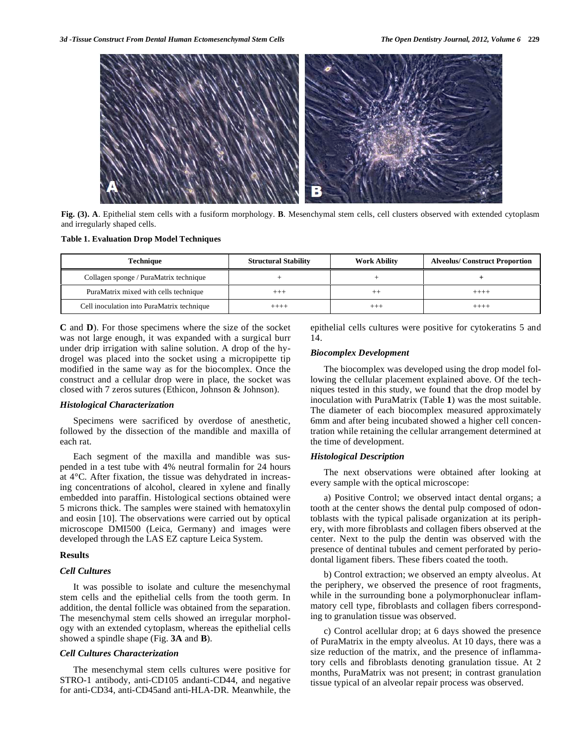

**Fig. (3). A**. Epithelial stem cells with a fusiform morphology. **B**. Mesenchymal stem cells, cell clusters observed with extended cytoplasm and irregularly shaped cells.

#### **Table 1. Evaluation Drop Model Techniques**

| Technique                                  | <b>Structural Stability</b> | <b>Work Ability</b> | <b>Alveolus/Construct Proportion</b> |
|--------------------------------------------|-----------------------------|---------------------|--------------------------------------|
| Collagen sponge / PuraMatrix technique     |                             |                     |                                      |
| PuraMatrix mixed with cells technique      | $^{+++}$                    |                     | $+++++$                              |
| Cell inoculation into PuraMatrix technique | $+++++$                     |                     | $+++++$                              |

**C** and **D**). For those specimens where the size of the socket was not large enough, it was expanded with a surgical burr under drip irrigation with saline solution. A drop of the hydrogel was placed into the socket using a micropipette tip modified in the same way as for the biocomplex. Once the construct and a cellular drop were in place, the socket was closed with 7 zeros sutures (Ethicon, Johnson & Johnson).

## *Histological Characterization*

Specimens were sacrificed by overdose of anesthetic, followed by the dissection of the mandible and maxilla of each rat.

Each segment of the maxilla and mandible was suspended in a test tube with 4% neutral formalin for 24 hours at 4°C. After fixation, the tissue was dehydrated in increasing concentrations of alcohol, cleared in xylene and finally embedded into paraffin. Histological sections obtained were 5 microns thick. The samples were stained with hematoxylin and eosin [10]. The observations were carried out by optical microscope DMI500 (Leica, Germany) and images were developed through the LAS EZ capture Leica System.

#### **Results**

### *Cell Cultures*

It was possible to isolate and culture the mesenchymal stem cells and the epithelial cells from the tooth germ. In addition, the dental follicle was obtained from the separation. The mesenchymal stem cells showed an irregular morphology with an extended cytoplasm, whereas the epithelial cells showed a spindle shape (Fig. **3A** and **B**).

## *Cell Cultures Characterization*

The mesenchymal stem cells cultures were positive for STRO-1 antibody, anti-CD105 andanti-CD44, and negative for anti-CD34, anti-CD45and anti-HLA-DR. Meanwhile, the epithelial cells cultures were positive for cytokeratins 5 and 14.

## *Biocomplex Development*

The biocomplex was developed using the drop model following the cellular placement explained above. Of the techniques tested in this study, we found that the drop model by inoculation with PuraMatrix (Table **1**) was the most suitable. The diameter of each biocomplex measured approximately 6mm and after being incubated showed a higher cell concentration while retaining the cellular arrangement determined at the time of development.

#### *Histological Description*

The next observations were obtained after looking at every sample with the optical microscope:

a) Positive Control; we observed intact dental organs; a tooth at the center shows the dental pulp composed of odontoblasts with the typical palisade organization at its periphery, with more fibroblasts and collagen fibers observed at the center. Next to the pulp the dentin was observed with the presence of dentinal tubules and cement perforated by periodontal ligament fibers. These fibers coated the tooth.

b) Control extraction; we observed an empty alveolus. At the periphery, we observed the presence of root fragments, while in the surrounding bone a polymorphonuclear inflammatory cell type, fibroblasts and collagen fibers corresponding to granulation tissue was observed.

c) Control acellular drop; at 6 days showed the presence of PuraMatrix in the empty alveolus. At 10 days, there was a size reduction of the matrix, and the presence of inflammatory cells and fibroblasts denoting granulation tissue. At 2 months, PuraMatrix was not present; in contrast granulation tissue typical of an alveolar repair process was observed.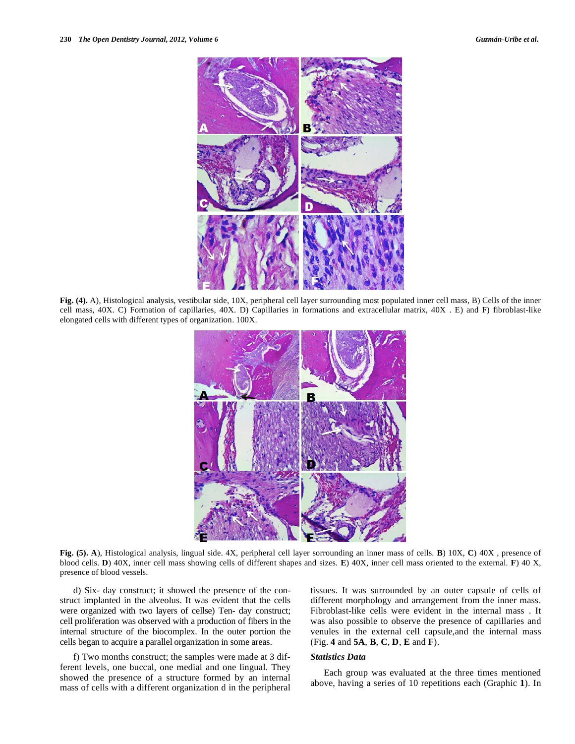

**Fig. (4).** A), Histological analysis, vestibular side, 10X, peripheral cell layer surrounding most populated inner cell mass, B) Cells of the inner cell mass, 40X. C) Formation of capillaries, 40X. D) Capillaries in formations and extracellular matrix, 40X . E) and F) fibroblast-like elongated cells with different types of organization. 100X.



**Fig. (5). A**), Histological analysis, lingual side. 4X, peripheral cell layer sorrounding an inner mass of cells. **B**) 10X, **C**) 40X , presence of blood cells. **D**) 40X, inner cell mass showing cells of different shapes and sizes. **E**) 40X, inner cell mass oriented to the external. **F**) 40 X, presence of blood vessels.

d) Six- day construct; it showed the presence of the construct implanted in the alveolus. It was evident that the cells were organized with two layers of cellse) Ten- day construct; cell proliferation was observed with a production of fibers in the internal structure of the biocomplex. In the outer portion the cells began to acquire a parallel organization in some areas.

f) Two months construct; the samples were made at 3 different levels, one buccal, one medial and one lingual. They showed the presence of a structure formed by an internal mass of cells with a different organization d in the peripheral tissues. It was surrounded by an outer capsule of cells of different morphology and arrangement from the inner mass. Fibroblast-like cells were evident in the internal mass . It was also possible to observe the presence of capillaries and venules in the external cell capsule,and the internal mass (Fig. **4** and **5A**, **B**, **C**, **D**, **E** and **F**).

## *Statistics Data*

Each group was evaluated at the three times mentioned above, having a series of 10 repetitions each (Graphic **1**). In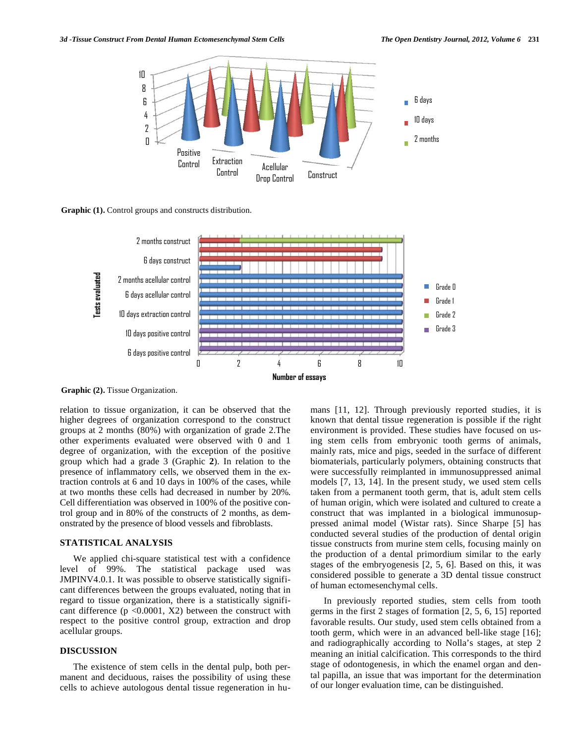

**Graphic (1).** Control groups and constructs distribution.



Graphic (2). Tissue Organization.

relation to tissue organization, it can be observed that the higher degrees of organization correspond to the construct groups at 2 months (80%) with organization of grade 2.The other experiments evaluated were observed with 0 and 1 degree of organization, with the exception of the positive group which had a grade 3 (Graphic **2**). In relation to the presence of inflammatory cells, we observed them in the extraction controls at 6 and 10 days in 100% of the cases, while at two months these cells had decreased in number by 20%. Cell differentiation was observed in 100% of the positive control group and in 80% of the constructs of 2 months, as demonstrated by the presence of blood vessels and fibroblasts.

## **STATISTICAL ANALYSIS**

We applied chi-square statistical test with a confidence level of 99%. The statistical package used was JMPINV4.0.1. It was possible to observe statistically significant differences between the groups evaluated, noting that in regard to tissue organization, there is a statistically significant difference  $(p \le 0.0001, X2)$  between the construct with respect to the positive control group, extraction and drop acellular groups.

# **DISCUSSION**

The existence of stem cells in the dental pulp, both permanent and deciduous, raises the possibility of using these cells to achieve autologous dental tissue regeneration in humans [11, 12]. Through previously reported studies, it is known that dental tissue regeneration is possible if the right environment is provided. These studies have focused on using stem cells from embryonic tooth germs of animals, mainly rats, mice and pigs, seeded in the surface of different biomaterials, particularly polymers, obtaining constructs that were successfully reimplanted in immunosuppressed animal models [7, 13, 14]. In the present study, we used stem cells taken from a permanent tooth germ, that is, adult stem cells of human origin, which were isolated and cultured to create a construct that was implanted in a biological immunosuppressed animal model (Wistar rats). Since Sharpe [5] has conducted several studies of the production of dental origin tissue constructs from murine stem cells, focusing mainly on the production of a dental primordium similar to the early stages of the embryogenesis [2, 5, 6]. Based on this, it was considered possible to generate a 3D dental tissue construct of human ectomesenchymal cells.

In previously reported studies, stem cells from tooth germs in the first 2 stages of formation [2, 5, 6, 15] reported favorable results. Our study, used stem cells obtained from a tooth germ, which were in an advanced bell-like stage [16]; and radiographically according to Nolla's stages, at step 2 meaning an initial calcification. This corresponds to the third stage of odontogenesis, in which the enamel organ and dental papilla, an issue that was important for the determination of our longer evaluation time, can be distinguished.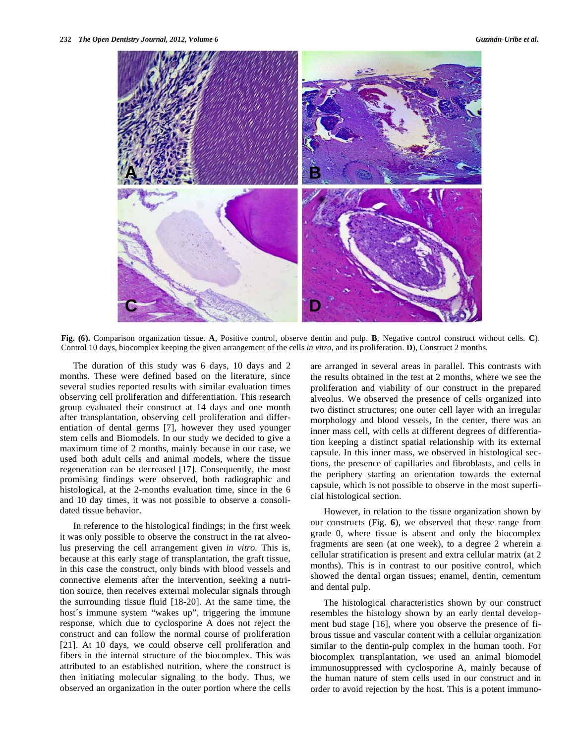

**Fig. (6).** Comparison organization tissue. **A**, Positive control, observe dentin and pulp. **B**, Negative control construct without cells. **C**). Control 10 days, biocomplex keeping the given arrangement of the cells *in vitro*, and its proliferation. **D**), Construct 2 months.

The duration of this study was 6 days, 10 days and 2 months. These were defined based on the literature, since several studies reported results with similar evaluation times observing cell proliferation and differentiation. This research group evaluated their construct at 14 days and one month after transplantation, observing cell proliferation and differentiation of dental germs [7], however they used younger stem cells and Biomodels. In our study we decided to give a maximum time of 2 months, mainly because in our case, we used both adult cells and animal models, where the tissue regeneration can be decreased [17]. Consequently, the most promising findings were observed, both radiographic and histological, at the 2-months evaluation time, since in the 6 and 10 day times, it was not possible to observe a consolidated tissue behavior.

In reference to the histological findings; in the first week it was only possible to observe the construct in the rat alveolus preserving the cell arrangement given *in vitro.* This is, because at this early stage of transplantation, the graft tissue, in this case the construct, only binds with blood vessels and connective elements after the intervention, seeking a nutrition source, then receives external molecular signals through the surrounding tissue fluid [18-20]. At the same time, the host´s immune system "wakes up", triggering the immune response, which due to cyclosporine A does not reject the construct and can follow the normal course of proliferation [21]. At 10 days, we could observe cell proliferation and fibers in the internal structure of the biocomplex. This was attributed to an established nutrition, where the construct is then initiating molecular signaling to the body. Thus, we observed an organization in the outer portion where the cells are arranged in several areas in parallel. This contrasts with the results obtained in the test at 2 months, where we see the proliferation and viability of our construct in the prepared alveolus. We observed the presence of cells organized into two distinct structures; one outer cell layer with an irregular morphology and blood vessels, In the center, there was an inner mass cell, with cells at different degrees of differentiation keeping a distinct spatial relationship with its external capsule. In this inner mass, we observed in histological sections, the presence of capillaries and fibroblasts, and cells in the periphery starting an orientation towards the external capsule, which is not possible to observe in the most superficial histological section.

However, in relation to the tissue organization shown by our constructs (Fig. **6**), we observed that these range from grade 0, where tissue is absent and only the biocomplex fragments are seen (at one week), to a degree 2 wherein a cellular stratification is present and extra cellular matrix (at 2 months). This is in contrast to our positive control, which showed the dental organ tissues; enamel, dentin, cementum and dental pulp.

The histological characteristics shown by our construct resembles the histology shown by an early dental development bud stage [16], where you observe the presence of fibrous tissue and vascular content with a cellular organization similar to the dentin-pulp complex in the human tooth. For biocomplex transplantation, we used an animal biomodel immunosuppressed with cyclosporine A, mainly because of the human nature of stem cells used in our construct and in order to avoid rejection by the host. This is a potent immuno-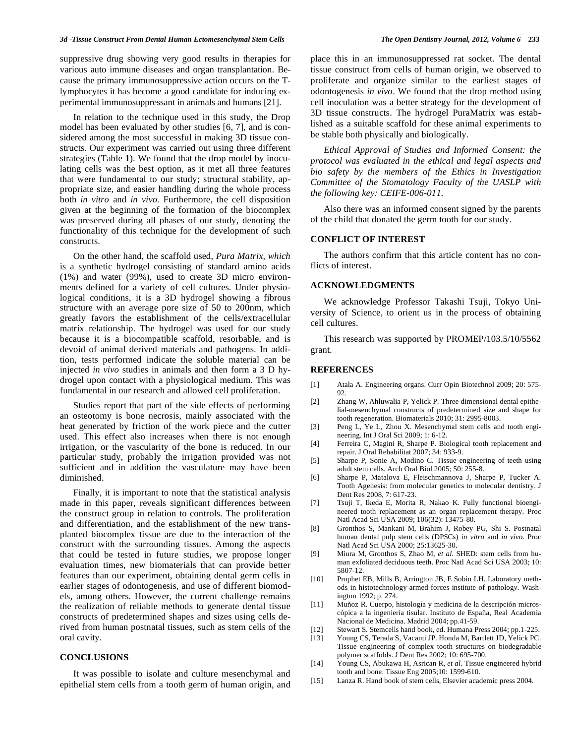### *3d -Tissue Construct From Dental Human Ectomesenchymal Stem Cells The Open Dentistry Journal, 2012, Volume 6* **233**

suppressive drug showing very good results in therapies for various auto immune diseases and organ transplantation. Because the primary immunosuppressive action occurs on the Tlymphocytes it has become a good candidate for inducing experimental immunosuppressant in animals and humans [21].

In relation to the technique used in this study, the Drop model has been evaluated by other studies [6, 7], and is considered among the most successful in making 3D tissue constructs. Our experiment was carried out using three different strategies (Table **1**). We found that the drop model by inoculating cells was the best option, as it met all three features that were fundamental to our study; structural stability, appropriate size, and easier handling during the whole process both *in vitro* and *in vivo.* Furthermore, the cell disposition given at the beginning of the formation of the biocomplex was preserved during all phases of our study, denoting the functionality of this technique for the development of such constructs.

On the other hand, the scaffold used, *Pura Matrix, which*  is a synthetic hydrogel consisting of standard amino acids (1%) and water (99%), used to create 3D micro environments defined for a variety of cell cultures. Under physiological conditions, it is a 3D hydrogel showing a fibrous structure with an average pore size of 50 to 200nm, which greatly favors the establishment of the cells/extracellular matrix relationship. The hydrogel was used for our study because it is a biocompatible scaffold, resorbable, and is devoid of animal derived materials and pathogens. In addition, tests performed indicate the soluble material can be injected *in vivo* studies in animals and then form a 3 D hydrogel upon contact with a physiological medium. This was fundamental in our research and allowed cell proliferation.

Studies report that part of the side effects of performing an osteotomy is bone necrosis, mainly associated with the heat generated by friction of the work piece and the cutter used. This effect also increases when there is not enough irrigation, or the vascularity of the bone is reduced. In our particular study, probably the irrigation provided was not sufficient and in addition the vasculature may have been diminished.

Finally, it is important to note that the statistical analysis made in this paper, reveals significant differences between the construct group in relation to controls. The proliferation and differentiation, and the establishment of the new transplanted biocomplex tissue are due to the interaction of the construct with the surrounding tissues. Among the aspects that could be tested in future studies, we propose longer evaluation times, new biomaterials that can provide better features than our experiment, obtaining dental germ cells in earlier stages of odontogenesis, and use of different biomodels, among others. However, the current challenge remains the realization of reliable methods to generate dental tissue constructs of predetermined shapes and sizes using cells derived from human postnatal tissues, such as stem cells of the oral cavity.

## **CONCLUSIONS**

It was possible to isolate and culture mesenchymal and epithelial stem cells from a tooth germ of human origin, and place this in an immunosuppressed rat socket. The dental tissue construct from cells of human origin, we observed to proliferate and organize similar to the earliest stages of odontogenesis *in vivo*. We found that the drop method using cell inoculation was a better strategy for the development of 3D tissue constructs. The hydrogel PuraMatrix was established as a suitable scaffold for these animal experiments to be stable both physically and biologically.

*Ethical Approval of Studies and Informed Consent: the protocol was evaluated in the ethical and legal aspects and bio safety by the members of the Ethics in Investigation Committee of the Stomatology Faculty of the UASLP with the following key: CEIFE-006-011.*

Also there was an informed consent signed by the parents of the child that donated the germ tooth for our study.

## **CONFLICT OF INTEREST**

The authors confirm that this article content has no conflicts of interest.

## **ACKNOWLEDGMENTS**

We acknowledge Professor Takashi Tsuji, Tokyo University of Science, to orient us in the process of obtaining cell cultures.

This research was supported by PROMEP/103.5/10/5562 grant.

## **REFERENCES**

- [1] Atala A. Engineering organs. Curr Opin Biotechnol 2009; 20: 575-  $92.$
- [2] Zhang W, Ahluwalia P, Yelick P. Three dimensional dental epithelial-mesenchymal constructs of predetermined size and shape for tooth regeneration. Biomaterials 2010; 31: 2995-8003.
- [3] Peng L, Ye L, Zhou X. Mesenchymal stem cells and tooth engineering. Int J Oral Sci 2009; 1: 6-12.
- [4] Ferreira C, Magini R, Sharpe P. Biological tooth replacement and repair. J Oral Rehabilitat 2007; 34: 933-9.
- [5] Sharpe P, Sonie A, Modino C. Tissue engineering of teeth using adult stem cells. Arch Oral Biol 2005; 50: 255-8.
- [6] Sharpe P, Matalova E, Fleischmannova J, Sharpe P, Tucker A. Tooth Agenesis: from molecular genetics to molecular dentistry. J Dent Res 2008, 7: 617-23.
- [7] Tsuji T, Ikeda E, Morita R, Nakao K. Fully functional bioengineered tooth replacement as an organ replacement therapy. Proc Natl Acad Sci USA 2009; 106(32): 13475-80.
- [8] Gronthos S, Mankani M, Brahim J, Robey PG, Shi S. Postnatal human dental pulp stem cells (DPSCs) *in vitro* and *in vivo*. Proc Natl Acad Sci USA 2000; 25:13625-30.
- [9] Miura M, Gronthos S, Zhao M, *et al*. SHED: stem cells from human exfoliated deciduous teeth. Proc Natl Acad Sci USA 2003; 10: 5807-12.
- [10] Prophet EB, Mills B, Arrington JB, E Sobin LH. Laboratory methods in histotechnology armed forces institute of patholog*y*. Washington 1992; p. 274.
- [11] Muñoz R. Cuerpo, histología y medicina de la descripción microscópica a la ingeniería tisular. Instituto de España, Real Academia Nacional de Medicina. Madrid 2004; pp.41-59.
- [12] Stewart S. Stemcells hand book, ed. Humana Press 2004; pp.1-225.
- [13] Young CS, Terada S, Vacanti JP. Honda M, Bartlett JD, Yelick PC. Tissue engineering of complex tooth structures on biodegradable polymer scaffolds. J Dent Res 2002; 10: 695-700.
- [14] Young CS, Abukawa H, Asrican R, *et al*. Tissue engineered hybrid tooth and bone. Tissue Eng 2005;10: 1599-610.
- [15] Lanza R. Hand book of stem cells, Elsevier academic press 2004.